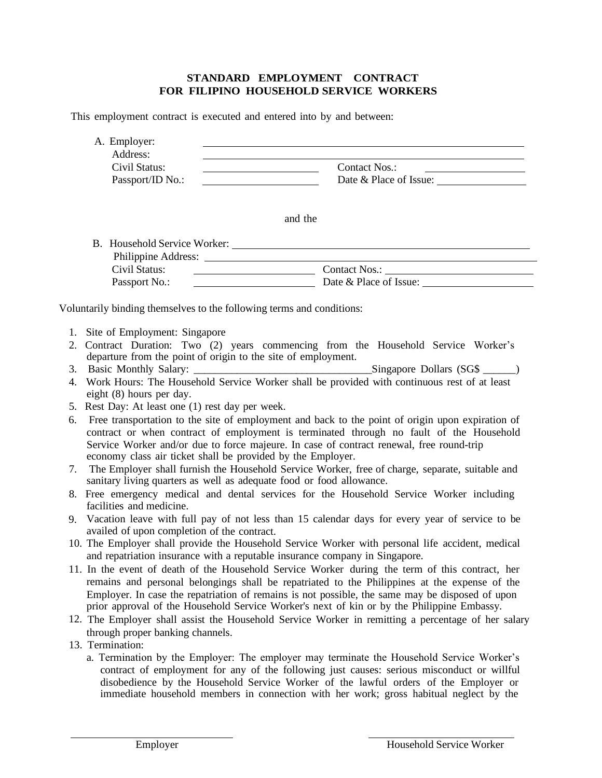## **STANDARD EMPLOYMENT CONTRACT FOR FILIPINO HOUSEHOLD SERVICE WORKERS**

This employment contract is executed and entered into by and between:

| A. Employer:<br>Address: |                        |
|--------------------------|------------------------|
| Civil Status:            | Contact Nos.:          |
| Passport/ID No.:         | Date & Place of Issue: |

and the

| B. Household Service Worker: |                        |
|------------------------------|------------------------|
| Philippine Address:          |                        |
| Civil Status:                | Contact Nos.:          |
| Passport No.:                | Date & Place of Issue: |

Voluntarily binding themselves to the following terms and conditions:

- 1. Site of Employment: Singapore
- 2. Contract Duration: Two (2) years commencing from the Household Service Worker's departure from the point of origin to the site of employment.
- 3. Basic Monthly Salary:  $\qquad \qquad$  Singapore Dollars (SG\$  $\qquad \qquad$ )
- 4. Work Hours: The Household Service Worker shall be provided with continuous rest of at least eight (8) hours per day.
- 5. Rest Day: At least one (1) rest day per week.
- 6. Free transportation to the site of employment and back to the point of origin upon expiration of contract or when contract of employment is terminated through no fault of the Household Service Worker and/or due to force majeure. In case of contract renewal, free round-trip economy class air ticket shall be provided by the Employer.
- 7. The Employer shall furnish the Household Service Worker, free of charge, separate, suitable and sanitary living quarters as well as adequate food or food allowance.
- 8. Free emergency medical and dental services for the Household Service Worker including facilities and medicine.
- 9. Vacation leave with full pay of not less than 15 calendar days for every year of service to be availed of upon completion of the contract.
- 10. The Employer shall provide the Household Service Worker with personal life accident, medical and repatriation insurance with a reputable insurance company in Singapore.
- 11. In the event of death of the Household Service Worker during the term of this contract, her remains and personal belongings shall be repatriated to the Philippines at the expense of the Employer. In case the repatriation of remains is not possible, the same may be disposed of upon prior approval of the Household Service Worker's next of kin or by the Philippine Embassy.
- 12. The Employer shall assist the Household Service Worker in remitting a percentage of her salary through proper banking channels.
- 13. Termination:
	- a. Termination by the Employer: The employer may terminate the Household Service Worker's contract of employment for any of the following just causes: serious misconduct or willful disobedience by the Household Service Worker of the lawful orders of the Employer or immediate household members in connection with her work; gross habitual neglect by the